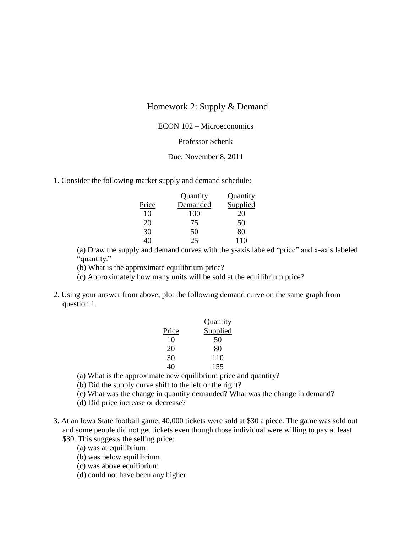# Homework 2: Supply & Demand

## ECON 102 – Microeconomics

# Professor Schenk

#### Due: November 8, 2011

1. Consider the following market supply and demand schedule:

|       | Quantity | Quantity |
|-------|----------|----------|
| Price | Demanded | Supplied |
| 10    | 100      | 20       |
| 20    | 75       | 50       |
| 30    | 50       | 80       |
| 40    | 25       | 110      |

(a) Draw the supply and demand curves with the y-axis labeled "price" and x-axis labeled "quantity."

(b) What is the approximate equilibrium price?

(c) Approximately how many units will be sold at the equilibrium price?

2. Using your answer from above, plot the following demand curve on the same graph from question 1.

|       | Quantity        |  |
|-------|-----------------|--|
| Price | <b>Supplied</b> |  |
| 10    | 50              |  |
| 20    | 80              |  |
| 30    | 110             |  |
| 40    | 155             |  |

(a) What is the approximate new equilibrium price and quantity?

- (b) Did the supply curve shift to the left or the right?
- (c) What was the change in quantity demanded? What was the change in demand?
- (d) Did price increase or decrease?
- 3. At an Iowa State football game, 40,000 tickets were sold at \$30 a piece. The game was sold out and some people did not get tickets even though those individual were willing to pay at least
	- \$30. This suggests the selling price:
		- (a) was at equilibrium
		- (b) was below equilibrium
		- (c) was above equilibrium
		- (d) could not have been any higher